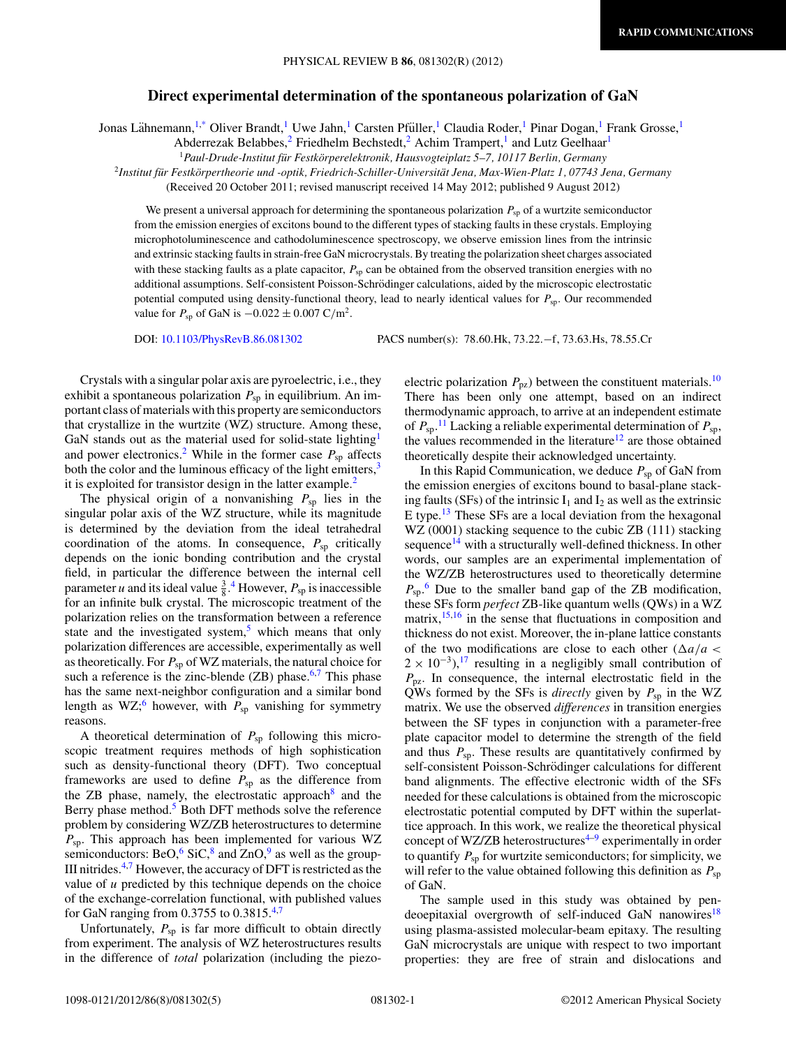## **Direct experimental determination of the spontaneous polarization of GaN**

Jonas Lähnemann, <sup>1[,\\*](#page-3-0)</sup> Oliver Brandt,<sup>1</sup> Uwe Jahn,<sup>1</sup> Carsten Pfüller,<sup>1</sup> Claudia Roder,<sup>1</sup> Pinar Dogan,<sup>1</sup> Frank Grosse,<sup>1</sup>

Abderrezak Belabbes,<sup>2</sup> Friedhelm Bechstedt,<sup>2</sup> Achim Trampert,<sup>1</sup> and Lutz Geelhaar<sup>1</sup>

<sup>1</sup> Paul-Drude-Institut für Festkörperelektronik, Hausvogteiplatz 5–7, 10117 Berlin, Germany

<sup>2</sup>*Institut fur Festk ¨ orpertheorie und -optik, Friedrich-Schiller-Universit ¨ at Jena, Max-Wien-Platz 1, 07743 Jena, Germany ¨*

(Received 20 October 2011; revised manuscript received 14 May 2012; published 9 August 2012)

We present a universal approach for determining the spontaneous polarization  $P_{\rm sp}$  of a wurtzite semiconductor from the emission energies of excitons bound to the different types of stacking faults in these crystals. Employing microphotoluminescence and cathodoluminescence spectroscopy, we observe emission lines from the intrinsic and extrinsic stacking faults in strain-free GaN microcrystals. By treating the polarization sheet charges associated with these stacking faults as a plate capacitor,  $P_{sp}$  can be obtained from the observed transition energies with no additional assumptions. Self-consistent Poisson-Schrödinger calculations, aided by the microscopic electrostatic potential computed using density-functional theory, lead to nearly identical values for *P<sub>sp</sub>*. Our recommended value for *P*<sub>sp</sub> of GaN is  $-0.022 \pm 0.007$  C/m<sup>2</sup>.

DOI: [10.1103/PhysRevB.86.081302](http://dx.doi.org/10.1103/PhysRevB.86.081302) PACS number(s): 78*.*60*.*Hk, 73*.*22*.*−f, 73*.*63*.*Hs, 78*.*55*.*Cr

Crystals with a singular polar axis are pyroelectric, i.e., they exhibit a spontaneous polarization  $P_{sp}$  in equilibrium. An important class of materials with this property are semiconductors that crystallize in the wurtzite (WZ) structure. Among these, GaN stands out as the material used for solid-state lighting<sup>1</sup> and power electronics.<sup>[2](#page-3-0)</sup> While in the former case  $P_{sp}$  affects both the color and the luminous efficacy of the light emitters, $3$ it is exploited for transistor design in the latter example.<sup>[2](#page-3-0)</sup>

The physical origin of a nonvanishing  $P_{sp}$  lies in the singular polar axis of the WZ structure, while its magnitude is determined by the deviation from the ideal tetrahedral coordination of the atoms. In consequence,  $P_{\rm sp}$  critically depends on the ionic bonding contribution and the crystal field, in particular the difference between the internal cell parameter *u* and its ideal value  $\frac{3}{8}$ .<sup>[4](#page-3-0)</sup> However,  $P_{sp}$  is inaccessible for an infinite bulk crystal. The microscopic treatment of the polarization relies on the transformation between a reference state and the investigated system, $5$  which means that only polarization differences are accessible, experimentally as well as theoretically. For *P*sp of WZ materials, the natural choice for such a reference is the zinc-blende  $(ZB)$  phase.<sup>[6,7](#page-3-0)</sup> This phase has the same next-neighbor configuration and a similar bond length as WZ;<sup>[6](#page-3-0)</sup> however, with  $P_{sp}$  vanishing for symmetry reasons.

A theoretical determination of *P*sp following this microscopic treatment requires methods of high sophistication such as density-functional theory (DFT). Two conceptual frameworks are used to define  $P_{sp}$  as the difference from the ZB phase, namely, the electrostatic approach $8$  and the Berry phase method.<sup>[5](#page-3-0)</sup> Both DFT methods solve the reference problem by considering WZ/ZB heterostructures to determine *P*sp. This approach has been implemented for various WZ semiconductors: BeO,  $6 \text{SiC}, 8$  $6 \text{SiC}, 8$  and  $\text{ZnO}, 9$  as well as the group-III nitrides. $4.7$  However, the accuracy of DFT is restricted as the value of *u* predicted by this technique depends on the choice of the exchange-correlation functional, with published values for GaN ranging from 0.3755 to 0.3815.[4,7](#page-3-0)

Unfortunately,  $P_{\text{sp}}$  is far more difficult to obtain directly from experiment. The analysis of WZ heterostructures results in the difference of *total* polarization (including the piezoelectric polarization  $P_{pz}$ ) between the constituent materials.<sup>10</sup> There has been only one attempt, based on an indirect thermodynamic approach, to arrive at an independent estimate of  $P_{\text{sp}}$ .<sup>[11](#page-4-0)</sup> Lacking a reliable experimental determination of  $P_{\text{sp}}$ , the values recommended in the literature<sup>12</sup> are those obtained theoretically despite their acknowledged uncertainty.

In this Rapid Communication, we deduce  $P_{\text{sp}}$  of GaN from the emission energies of excitons bound to basal-plane stacking faults (SFs) of the intrinsic  $I_1$  and  $I_2$  as well as the extrinsic E type.[13](#page-4-0) These SFs are a local deviation from the hexagonal WZ (0001) stacking sequence to the cubic ZB (111) stacking sequence $14$  with a structurally well-defined thickness. In other words, our samples are an experimental implementation of the WZ/ZB heterostructures used to theoretically determine  $P_{\text{sp}}$ <sup>[6](#page-3-0)</sup> Due to the smaller band gap of the ZB modification, these SFs form *perfect* ZB-like quantum wells (QWs) in a WZ matrix, $15,16$  in the sense that fluctuations in composition and thickness do not exist. Moreover, the in-plane lattice constants of the two modifications are close to each other  $(\Delta a/a <$  $2 \times 10^{-3}$ ,<sup>17</sup> resulting in a negligibly small contribution of  $P_{\text{pz}}$ . In consequence, the internal electrostatic field in the QWs formed by the SFs is *directly* given by  $P_{\text{sp}}$  in the WZ matrix. We use the observed *differences* in transition energies between the SF types in conjunction with a parameter-free plate capacitor model to determine the strength of the field and thus  $P_{\rm sp}$ . These results are quantitatively confirmed by self-consistent Poisson-Schrödinger calculations for different band alignments. The effective electronic width of the SFs needed for these calculations is obtained from the microscopic electrostatic potential computed by DFT within the superlattice approach. In this work, we realize the theoretical physical concept of WZ/ZB heterostructures<sup>4-9</sup> experimentally in order to quantify *P*sp for wurtzite semiconductors; for simplicity, we will refer to the value obtained following this definition as  $P_{\text{sp}}$ of GaN.

The sample used in this study was obtained by pen-deoepitaxial overgrowth of self-induced GaN nanowires<sup>[18](#page-4-0)</sup> using plasma-assisted molecular-beam epitaxy. The resulting GaN microcrystals are unique with respect to two important properties: they are free of strain and dislocations and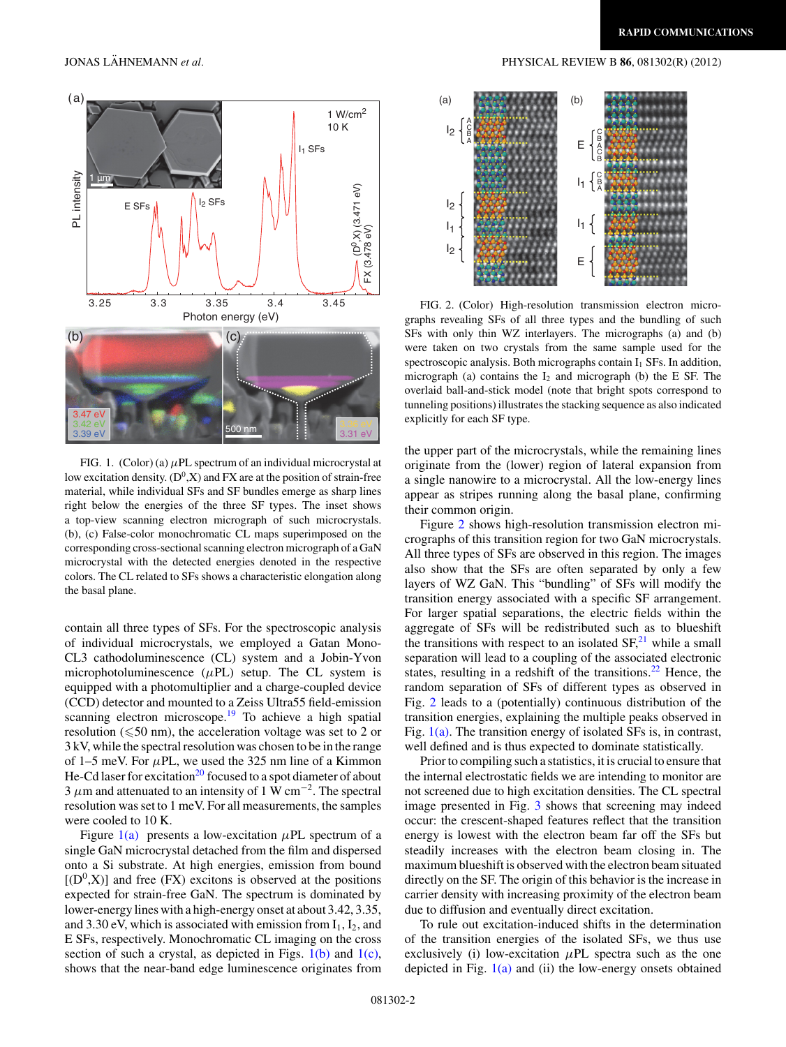<span id="page-1-0"></span>

FIG. 1. (Color) (a) *μ*PL spectrum of an individual microcrystal at low excitation density.  $(D^0, X)$  and FX are at the position of strain-free material, while individual SFs and SF bundles emerge as sharp lines right below the energies of the three SF types. The inset shows a top-view scanning electron micrograph of such microcrystals. (b), (c) False-color monochromatic CL maps superimposed on the corresponding cross-sectional scanning electron micrograph of a GaN microcrystal with the detected energies denoted in the respective colors. The CL related to SFs shows a characteristic elongation along the basal plane.

contain all three types of SFs. For the spectroscopic analysis of individual microcrystals, we employed a Gatan Mono-CL3 cathodoluminescence (CL) system and a Jobin-Yvon microphotoluminescence  $(\mu PL)$  setup. The CL system is equipped with a photomultiplier and a charge-coupled device (CCD) detector and mounted to a Zeiss Ultra55 field-emission scanning electron microscope.<sup>[19](#page-4-0)</sup> To achieve a high spatial resolution ( $\leqslant$ 50 nm), the acceleration voltage was set to 2 or 3 kV, while the spectral resolution was chosen to be in the range of 1–5 meV. For *μ*PL, we used the 325 nm line of a Kimmon He-Cd laser for excitation<sup>20</sup> focused to a spot diameter of about  $3 \mu$ m and attenuated to an intensity of 1 W cm<sup>-2</sup>. The spectral resolution was set to 1 meV. For all measurements, the samples were cooled to 10 K.

Figure  $1(a)$  presents a low-excitation  $\mu$ PL spectrum of a single GaN microcrystal detached from the film and dispersed onto a Si substrate. At high energies, emission from bound  $[(D^0,X)]$  and free (FX) excitons is observed at the positions expected for strain-free GaN. The spectrum is dominated by lower-energy lines with a high-energy onset at about 3.42, 3.35, and 3.30 eV, which is associated with emission from  $I_1$ ,  $I_2$ , and E SFs, respectively. Monochromatic CL imaging on the cross section of such a crystal, as depicted in Figs.  $1(b)$  and  $1(c)$ , shows that the near-band edge luminescence originates from



FIG. 2. (Color) High-resolution transmission electron micrographs revealing SFs of all three types and the bundling of such SFs with only thin WZ interlayers. The micrographs (a) and (b) were taken on two crystals from the same sample used for the spectroscopic analysis. Both micrographs contain  $I_1$  SFs. In addition, micrograph (a) contains the  $I_2$  and micrograph (b) the E SF. The overlaid ball-and-stick model (note that bright spots correspond to tunneling positions) illustrates the stacking sequence as also indicated explicitly for each SF type.

the upper part of the microcrystals, while the remaining lines originate from the (lower) region of lateral expansion from a single nanowire to a microcrystal. All the low-energy lines appear as stripes running along the basal plane, confirming their common origin.

Figure 2 shows high-resolution transmission electron micrographs of this transition region for two GaN microcrystals. All three types of SFs are observed in this region. The images also show that the SFs are often separated by only a few layers of WZ GaN. This "bundling" of SFs will modify the transition energy associated with a specific SF arrangement. For larger spatial separations, the electric fields within the aggregate of SFs will be redistributed such as to blueshift the transitions with respect to an isolated  $SF<sub>1</sub><sup>21</sup>$  $SF<sub>1</sub><sup>21</sup>$  $SF<sub>1</sub><sup>21</sup>$  while a small separation will lead to a coupling of the associated electronic states, resulting in a redshift of the transitions.<sup>22</sup> Hence, the random separation of SFs of different types as observed in Fig. 2 leads to a (potentially) continuous distribution of the transition energies, explaining the multiple peaks observed in Fig. 1(a). The transition energy of isolated SFs is, in contrast, well defined and is thus expected to dominate statistically.

Prior to compiling such a statistics, it is crucial to ensure that the internal electrostatic fields we are intending to monitor are not screened due to high excitation densities. The CL spectral image presented in Fig. [3](#page-2-0) shows that screening may indeed occur: the crescent-shaped features reflect that the transition energy is lowest with the electron beam far off the SFs but steadily increases with the electron beam closing in. The maximum blueshift is observed with the electron beam situated directly on the SF. The origin of this behavior is the increase in carrier density with increasing proximity of the electron beam due to diffusion and eventually direct excitation.

To rule out excitation-induced shifts in the determination of the transition energies of the isolated SFs, we thus use exclusively (i) low-excitation *μ*PL spectra such as the one depicted in Fig.  $1(a)$  and (ii) the low-energy onsets obtained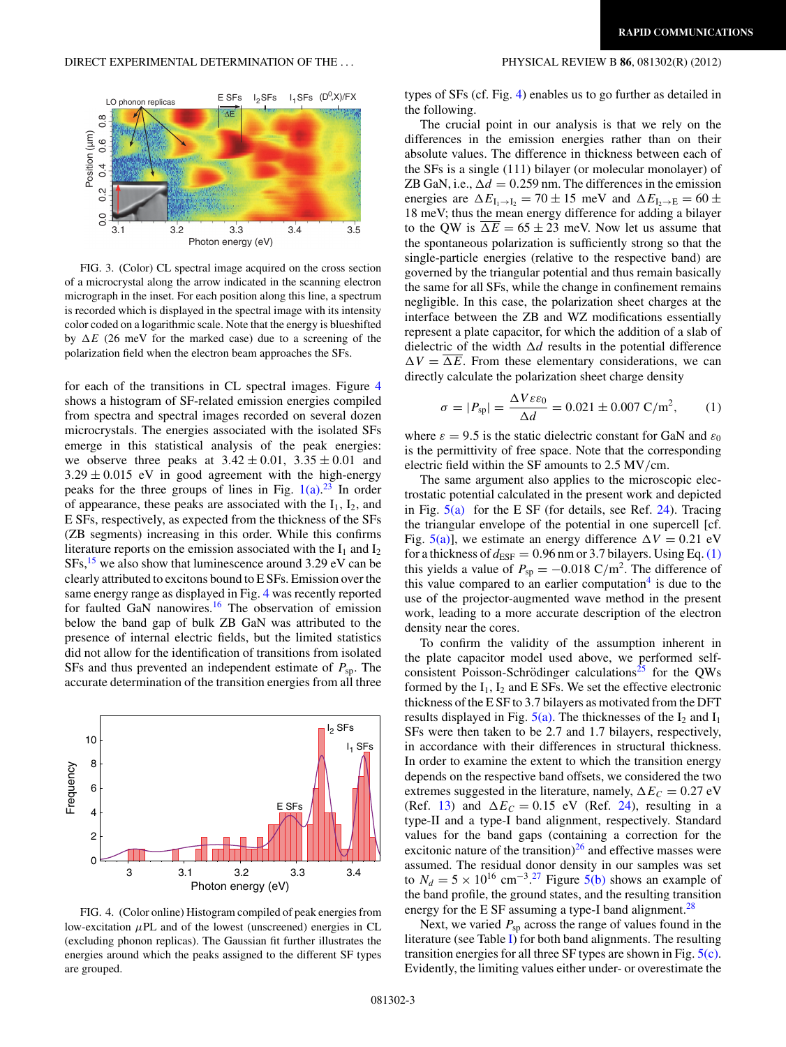<span id="page-2-0"></span>

FIG. 3. (Color) CL spectral image acquired on the cross section of a microcrystal along the arrow indicated in the scanning electron micrograph in the inset. For each position along this line, a spectrum is recorded which is displayed in the spectral image with its intensity color coded on a logarithmic scale. Note that the energy is blueshifted by  $\Delta E$  (26 meV for the marked case) due to a screening of the polarization field when the electron beam approaches the SFs.

for each of the transitions in CL spectral images. Figure 4 shows a histogram of SF-related emission energies compiled from spectra and spectral images recorded on several dozen microcrystals. The energies associated with the isolated SFs emerge in this statistical analysis of the peak energies: we observe three peaks at  $3.42 \pm 0.01$ ,  $3.35 \pm 0.01$  and  $3.29 \pm 0.015$  eV in good agreement with the high-energy peaks for the three groups of lines in Fig.  $1(a)$ .<sup>[23](#page-4-0)</sup> In order of appearance, these peaks are associated with the  $I_1$ ,  $I_2$ , and E SFs, respectively, as expected from the thickness of the SFs (ZB segments) increasing in this order. While this confirms literature reports on the emission associated with the  $I_1$  and  $I_2$  $SFs, <sup>15</sup>$  $SFs, <sup>15</sup>$  $SFs, <sup>15</sup>$  we also show that luminescence around 3.29 eV can be clearly attributed to excitons bound to E SFs. Emission over the same energy range as displayed in Fig. 4 was recently reported for faulted GaN nanowires.<sup>16</sup> The observation of emission below the band gap of bulk ZB GaN was attributed to the presence of internal electric fields, but the limited statistics did not allow for the identification of transitions from isolated SFs and thus prevented an independent estimate of *P*sp. The accurate determination of the transition energies from all three



FIG. 4. (Color online) Histogram compiled of peak energies from low-excitation *μ*PL and of the lowest (unscreened) energies in CL (excluding phonon replicas). The Gaussian fit further illustrates the energies around which the peaks assigned to the different SF types are grouped.

types of SFs (cf. Fig. 4) enables us to go further as detailed in the following.

The crucial point in our analysis is that we rely on the differences in the emission energies rather than on their absolute values. The difference in thickness between each of the SFs is a single (111) bilayer (or molecular monolayer) of ZB GaN, i.e.,  $\Delta d = 0.259$  nm. The differences in the emission energies are  $\Delta E_{\text{I}_1 \rightarrow \text{I}_2} = 70 \pm 15 \text{ meV}$  and  $\Delta E_{\text{I}_2 \rightarrow \text{E}} = 60 \pm 15 \text{ meV}$ 18 meV; thus the mean energy difference for adding a bilayer to the QW is  $\Delta E = 65 \pm 23$  meV. Now let us assume that the spontaneous polarization is sufficiently strong so that the single-particle energies (relative to the respective band) are governed by the triangular potential and thus remain basically the same for all SFs, while the change in confinement remains negligible. In this case, the polarization sheet charges at the interface between the ZB and WZ modifications essentially represent a plate capacitor, for which the addition of a slab of dielectric of the width  $\Delta d$  results in the potential difference  $\Delta V = \Delta E$ . From these elementary considerations, we can directly calculate the polarization sheet charge density

$$
\sigma = |P_{\rm sp}| = \frac{\Delta V \varepsilon \varepsilon_0}{\Delta d} = 0.021 \pm 0.007 \,\mathrm{C/m^2},\qquad(1)
$$

where  $\varepsilon = 9.5$  is the static dielectric constant for GaN and  $\varepsilon_0$ is the permittivity of free space. Note that the corresponding electric field within the SF amounts to 2.5 MV*/*cm.

The same argument also applies to the microscopic electrostatic potential calculated in the present work and depicted in Fig.  $5(a)$  for the E SF (for details, see Ref. [24\)](#page-4-0). Tracing the triangular envelope of the potential in one supercell [cf. Fig. [5\(a\)\]](#page-3-0), we estimate an energy difference  $\Delta V = 0.21$  eV for a thickness of  $d_{\text{ESF}} = 0.96$  nm or 3.7 bilayers. Using Eq. (1) this yields a value of  $P_{\rm sp} = -0.018 \text{ C/m}^2$ . The difference of this value compared to an earlier computation $4$  is due to the use of the projector-augmented wave method in the present work, leading to a more accurate description of the electron density near the cores.

To confirm the validity of the assumption inherent in the plate capacitor model used above, we performed self-consistent Poisson-Schrödinger calculations<sup>[25](#page-4-0)</sup> for the QWs formed by the  $I_1$ ,  $I_2$  and E SFs. We set the effective electronic thickness of the E SF to 3.7 bilayers as motivated from the DFT results displayed in Fig.  $5(a)$ . The thicknesses of the I<sub>2</sub> and I<sub>1</sub> SFs were then taken to be 2.7 and 1.7 bilayers, respectively, in accordance with their differences in structural thickness. In order to examine the extent to which the transition energy depends on the respective band offsets, we considered the two extremes suggested in the literature, namely,  $\Delta E_C = 0.27 \text{ eV}$ (Ref. [13\)](#page-4-0) and  $\Delta E_C = 0.15$  eV (Ref. [24\)](#page-4-0), resulting in a type-II and a type-I band alignment, respectively. Standard values for the band gaps (containing a correction for the excitonic nature of the transition) $^{26}$  $^{26}$  $^{26}$  and effective masses were assumed. The residual donor density in our samples was set to  $N_d = 5 \times 10^{16}$  cm<sup>-3.[27](#page-4-0)</sup> Figure [5\(b\)](#page-3-0) shows an example of the band profile, the ground states, and the resulting transition energy for the E SF assuming a type-I band alignment.<sup>28</sup>

Next, we varied  $P_{\rm sp}$  across the range of values found in the literature (see Table [I\)](#page-3-0) for both band alignments. The resulting transition energies for all three SF types are shown in Fig. [5\(c\).](#page-3-0) Evidently, the limiting values either under- or overestimate the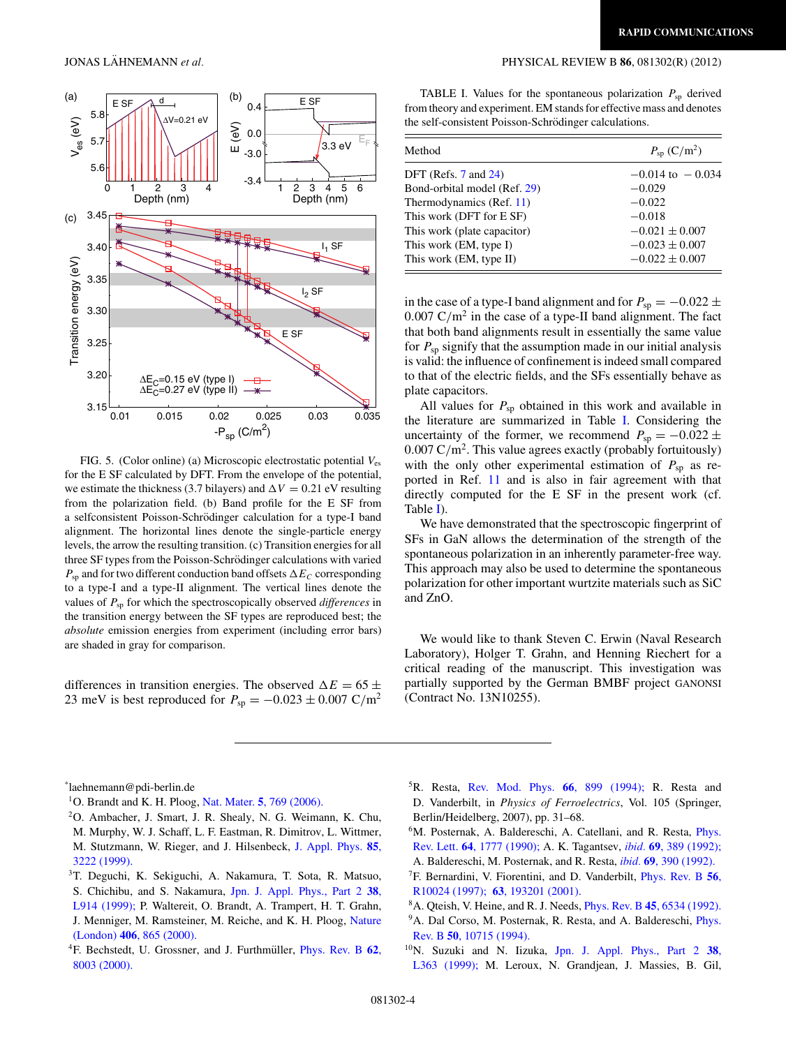

FIG. 5. (Color online) (a) Microscopic electrostatic potential  $V_{\text{es}}$ for the E SF calculated by DFT. From the envelope of the potential, we estimate the thickness (3.7 bilayers) and  $\Delta V = 0.21$  eV resulting from the polarization field. (b) Band profile for the E SF from a selfconsistent Poisson-Schrödinger calculation for a type-I band alignment. The horizontal lines denote the single-particle energy levels, the arrow the resulting transition. (c) Transition energies for all three SF types from the Poisson-Schrödinger calculations with varied  $P_{\text{sp}}$  and for two different conduction band offsets  $\Delta E_C$  corresponding to a type-I and a type-II alignment. The vertical lines denote the values of *P*sp for which the spectroscopically observed *differences* in the transition energy between the SF types are reproduced best; the *absolute* emission energies from experiment (including error bars) are shaded in gray for comparison.

differences in transition energies. The observed  $\Delta E = 65 \pm 200$ 23 meV is best reproduced for  $P_{sp} = -0.023 \pm 0.007$  C/m<sup>2</sup>

## <span id="page-3-0"></span>JONAS LÄHNEMANN et al. **PHYSICAL REVIEW B 86**, 081302(R) (2012)

TABLE I. Values for the spontaneous polarization  $P_{sp}$  derived from theory and experiment. EM stands for effective mass and denotes the self-consistent Poisson-Schrödinger calculations.

| Method                       | $P_{\rm sp}$ (C/m <sup>2</sup> ) |
|------------------------------|----------------------------------|
| DFT (Refs. $7$ and $24$ )    | $-0.014 \text{ to } -0.034$      |
| Bond-orbital model (Ref. 29) | $-0.029$                         |
| Thermodynamics (Ref. 11)     | $-0.022$                         |
| This work (DFT for E SF)     | $-0.018$                         |
| This work (plate capacitor)  | $-0.021 \pm 0.007$               |
| This work (EM, type I)       | $-0.023 \pm 0.007$               |
| This work (EM, type II)      | $-0.022 \pm 0.007$               |

in the case of a type-I band alignment and for  $P_{\rm sp} = -0.022 \pm 1$ 0*.*007 C*/*m2 in the case of a type-II band alignment. The fact that both band alignments result in essentially the same value for  $P_{\text{sp}}$  signify that the assumption made in our initial analysis is valid: the influence of confinement is indeed small compared to that of the electric fields, and the SFs essentially behave as plate capacitors.

All values for  $P_{\text{sp}}$  obtained in this work and available in the literature are summarized in Table I. Considering the uncertainty of the former, we recommend  $P_{\rm sp} = -0.022 \pm$ 0*.*007 C*/*m2. This value agrees exactly (probably fortuitously) with the only other experimental estimation of  $P_{sp}$  as reported in Ref. [11](#page-4-0) and is also in fair agreement with that directly computed for the E SF in the present work (cf. Table I).

We have demonstrated that the spectroscopic fingerprint of SFs in GaN allows the determination of the strength of the spontaneous polarization in an inherently parameter-free way. This approach may also be used to determine the spontaneous polarization for other important wurtzite materials such as SiC and ZnO.

We would like to thank Steven C. Erwin (Naval Research Laboratory), Holger T. Grahn, and Henning Riechert for a critical reading of the manuscript. This investigation was partially supported by the German BMBF project GANONSI (Contract No. 13N10255).

\* laehnemann@pdi-berlin.de

- 2O. Ambacher, J. Smart, J. R. Shealy, N. G. Weimann, K. Chu, M. Murphy, W. J. Schaff, L. F. Eastman, R. Dimitrov, L. Wittmer, M. Stutzmann, W. Rieger, and J. Hilsenbeck, [J. Appl. Phys.](http://dx.doi.org/10.1063/1.369664) **85**, [3222 \(1999\).](http://dx.doi.org/10.1063/1.369664)
- 3T. Deguchi, K. Sekiguchi, A. Nakamura, T. Sota, R. Matsuo, S. Chichibu, and S. Nakamura, [Jpn. J. Appl. Phys., Part 2](http://dx.doi.org/10.1143/JJAP.38.L914) **38**, [L914 \(1999\);](http://dx.doi.org/10.1143/JJAP.38.L914) P. Waltereit, O. Brandt, A. Trampert, H. T. Grahn, J. Menniger, M. Ramsteiner, M. Reiche, and K. H. Ploog, [Nature](http://dx.doi.org/10.1038/35022529) (London) **406**[, 865 \(2000\).](http://dx.doi.org/10.1038/35022529)
- <sup>4</sup>F. Bechstedt, U. Grossner, and J. Furthmüller, *[Phys. Rev. B](http://dx.doi.org/10.1103/PhysRevB.62.8003)* 62, [8003 \(2000\).](http://dx.doi.org/10.1103/PhysRevB.62.8003)
- 5R. Resta, [Rev. Mod. Phys.](http://dx.doi.org/10.1103/RevModPhys.66.899) **66**, 899 (1994); R. Resta and D. Vanderbilt, in *Physics of Ferroelectrics*, Vol. 105 (Springer, Berlin/Heidelberg, 2007), pp. 31–68.
- <sup>6</sup>M. Posternak, A. Baldereschi, A. Catellani, and R. Resta, *[Phys.](http://dx.doi.org/10.1103/PhysRevLett.64.1777)* Rev. Lett. **64**[, 1777 \(1990\);](http://dx.doi.org/10.1103/PhysRevLett.64.1777) A. K. Tagantsev, *ibid.* **69**[, 389 \(1992\);](http://dx.doi.org/10.1103/PhysRevLett.69.389) A. Baldereschi, M. Posternak, and R. Resta, *ibid.* **69**[, 390 \(1992\).](http://dx.doi.org/10.1103/PhysRevLett.69.390)
- 7F. Bernardini, V. Fiorentini, and D. Vanderbilt, [Phys. Rev. B](http://dx.doi.org/10.1103/PhysRevB.56.R10024) **56**, [R10024 \(1997\);](http://dx.doi.org/10.1103/PhysRevB.56.R10024) **63**[, 193201 \(2001\).](http://dx.doi.org/10.1103/PhysRevB.63.193201)
- 8A. Qteish, V. Heine, and R. J. Needs, Phys. Rev. B **45**[, 6534 \(1992\).](http://dx.doi.org/10.1103/PhysRevB.45.6534)
- <sup>9</sup>A. Dal Corso, M. Posternak, R. Resta, and A. Baldereschi, *[Phys.](http://dx.doi.org/10.1103/PhysRevB.50.10715)* Rev. B **50**[, 10715 \(1994\).](http://dx.doi.org/10.1103/PhysRevB.50.10715)
- 10N. Suzuki and N. Iizuka, [Jpn. J. Appl. Phys., Part 2](http://dx.doi.org/10.1143/JJAP.38.L363) **38**, [L363 \(1999\);](http://dx.doi.org/10.1143/JJAP.38.L363) M. Leroux, N. Grandjean, J. Massies, B. Gil,

<sup>1</sup>O. Brandt and K. H. Ploog, Nat. Mater. **5**[, 769 \(2006\).](http://dx.doi.org/10.1038/nmat1728)